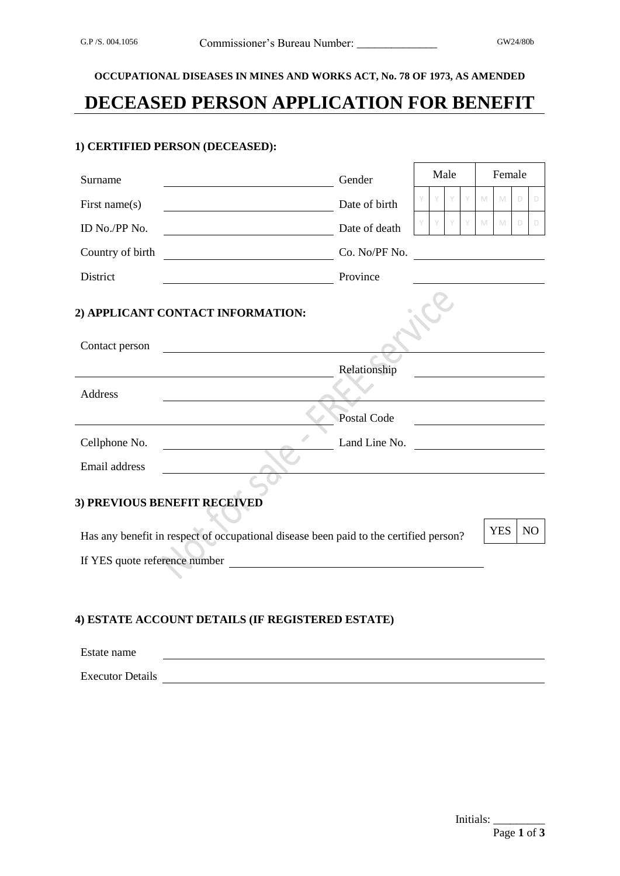**OCCUPATIONAL DISEASES IN MINES AND WORKS ACT, No. 78 OF 1973, AS AMENDED**

# **DECEASED PERSON APPLICATION FOR BENEFIT**

#### **1) CERTIFIED PERSON (DECEASED):**

| Surname                                                                                                                                                | Gender        | Male |   |   | Female                                   |   |                |
|--------------------------------------------------------------------------------------------------------------------------------------------------------|---------------|------|---|---|------------------------------------------|---|----------------|
| First name $(s)$                                                                                                                                       | Date of birth |      | Y | M | M                                        | D | D              |
| ID No./PP No.<br><u> 1980 - Johann Barnett, fransk politik (</u>                                                                                       | Date of death |      | Y | M | M                                        | D | D              |
| Country of birth<br><u> 1980 - Johann Stoff, fransk politik (d. 19</u>                                                                                 | Co. No/PF No. |      |   |   |                                          |   |                |
| District                                                                                                                                               | Province      |      |   |   |                                          |   |                |
| 2) APPLICANT CONTACT INFORMATION:<br>Contact person                                                                                                    |               |      |   |   |                                          |   |                |
|                                                                                                                                                        | Relationship  |      |   |   |                                          |   |                |
| Address                                                                                                                                                |               |      |   |   |                                          |   |                |
|                                                                                                                                                        | Postal Code   |      |   |   |                                          |   |                |
| Cellphone No.                                                                                                                                          | Land Line No. |      |   |   | <u> 1999 - Andrea State Barbara, pre</u> |   |                |
| Email address                                                                                                                                          |               |      |   |   |                                          |   |                |
| 3) PREVIOUS BENEFIT RECEIVED<br>Has any benefit in respect of occupational disease been paid to the certified person?<br>If YES quote reference number |               |      |   |   | <b>YES</b>                               |   | N <sub>O</sub> |
|                                                                                                                                                        |               |      |   |   |                                          |   |                |

## **4) ESTATE ACCOUNT DETAILS (IF REGISTERED ESTATE)**

| Estate name             |  |
|-------------------------|--|
| <b>Executor Details</b> |  |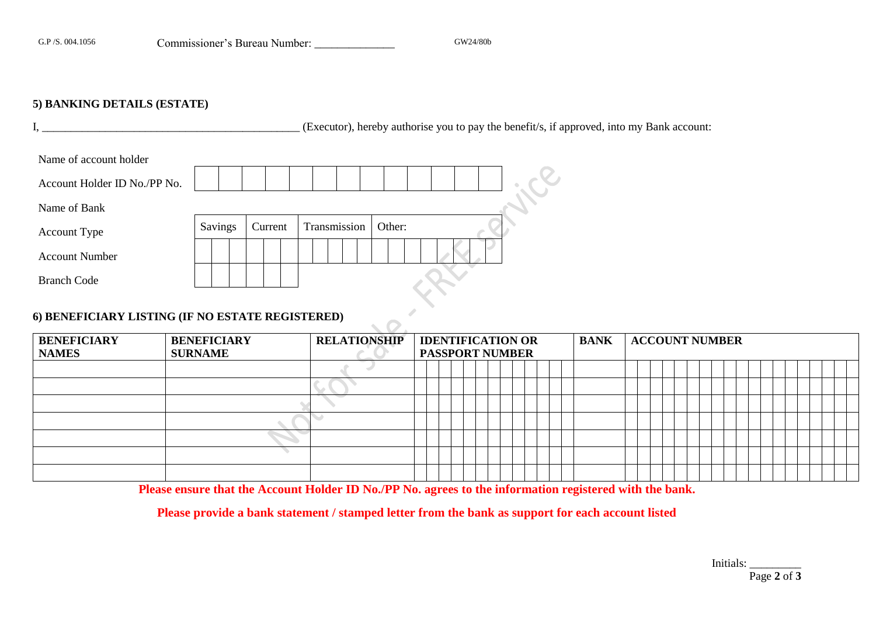### **5) BANKING DETAILS (ESTATE)**

I, \_\_\_\_\_\_\_\_\_\_\_\_\_\_\_\_\_\_\_\_\_\_\_\_\_\_\_\_\_\_\_\_\_\_\_\_\_\_\_\_\_\_\_\_\_ (Executor), hereby authorise you to pay the benefit/s, if approved, into my Bank account:

| Name of account holder                           |         |         |  |              |  |        |  |  |  |  |
|--------------------------------------------------|---------|---------|--|--------------|--|--------|--|--|--|--|
| Account Holder ID No./PP No.                     |         |         |  |              |  |        |  |  |  |  |
| Name of Bank                                     |         |         |  |              |  |        |  |  |  |  |
| <b>Account Type</b>                              | Savings | Current |  | Transmission |  | Other: |  |  |  |  |
| <b>Account Number</b>                            |         |         |  |              |  |        |  |  |  |  |
| <b>Branch Code</b>                               |         |         |  |              |  |        |  |  |  |  |
| 6) BENEFICIARY LISTING (IF NO ESTATE REGISTERED) |         |         |  |              |  |        |  |  |  |  |

## **6) BENEFICIARY LISTING (IF NO ESTATE REGISTERED)**

| <b>BENEFICIARY</b> | <b>BENEFICIARY</b> | <b>RELATIONSHIP</b> | <b>IDENTIFICATION OR</b> |  |  |  |  |  |  | <b>BANK</b> | <b>ACCOUNT NUMBER</b> |  |  |  |  |  |  |  |  |  |  |  |  |  |  |
|--------------------|--------------------|---------------------|--------------------------|--|--|--|--|--|--|-------------|-----------------------|--|--|--|--|--|--|--|--|--|--|--|--|--|--|
| <b>NAMES</b>       | <b>SURNAME</b>     |                     | <b>PASSPORT NUMBER</b>   |  |  |  |  |  |  |             |                       |  |  |  |  |  |  |  |  |  |  |  |  |  |  |
|                    |                    |                     |                          |  |  |  |  |  |  |             |                       |  |  |  |  |  |  |  |  |  |  |  |  |  |  |
|                    |                    |                     |                          |  |  |  |  |  |  |             |                       |  |  |  |  |  |  |  |  |  |  |  |  |  |  |
|                    |                    |                     |                          |  |  |  |  |  |  |             |                       |  |  |  |  |  |  |  |  |  |  |  |  |  |  |
|                    |                    |                     |                          |  |  |  |  |  |  |             |                       |  |  |  |  |  |  |  |  |  |  |  |  |  |  |
|                    |                    |                     |                          |  |  |  |  |  |  |             |                       |  |  |  |  |  |  |  |  |  |  |  |  |  |  |
|                    |                    |                     |                          |  |  |  |  |  |  |             |                       |  |  |  |  |  |  |  |  |  |  |  |  |  |  |
|                    |                    |                     |                          |  |  |  |  |  |  |             |                       |  |  |  |  |  |  |  |  |  |  |  |  |  |  |

**Please ensure that the Account Holder ID No./PP No. agrees to the information registered with the bank.**

**Please provide a bank statement / stamped letter from the bank as support for each account listed**